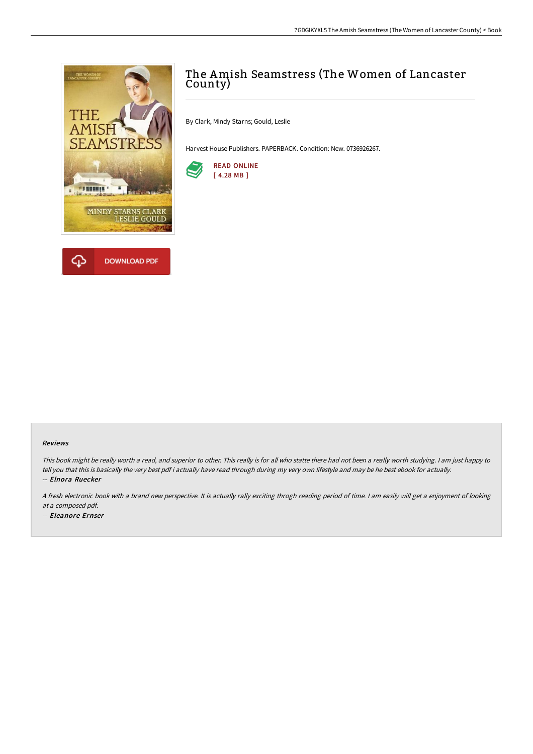



# The Amish Seamstress (The Women of Lancaster County)

By Clark, Mindy Starns; Gould, Leslie

Harvest House Publishers. PAPERBACK. Condition: New. 0736926267.



#### Reviews

This book might be really worth <sup>a</sup> read, and superior to other. This really is for all who statte there had not been <sup>a</sup> really worth studying. <sup>I</sup> am just happy to tell you that this is basically the very best pdf i actually have read through during my very own lifestyle and may be he best ebook for actually. -- Elnora Ruecker

<sup>A</sup> fresh electronic book with <sup>a</sup> brand new perspective. It is actually rally exciting throgh reading period of time. <sup>I</sup> am easily will get <sup>a</sup> enjoyment of looking at <sup>a</sup> composed pdf.

-- Eleanore Ernser